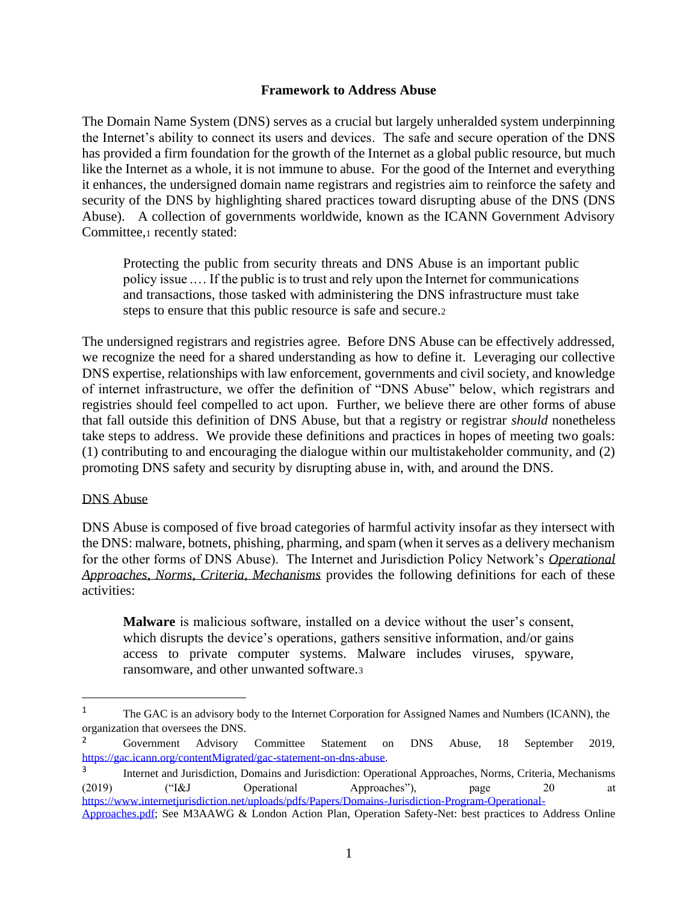### **Framework to Address Abuse**

The Domain Name System (DNS) serves as a crucial but largely unheralded system underpinning the Internet's ability to connect its users and devices. The safe and secure operation of the DNS has provided a firm foundation for the growth of the Internet as a global public resource, but much like the Internet as a whole, it is not immune to abuse. For the good of the Internet and everything it enhances, the undersigned domain name registrars and registries aim to reinforce the safety and security of the DNS by highlighting shared practices toward disrupting abuse of the DNS (DNS Abuse). A collection of governments worldwide, known as the ICANN Government Advisory Committee,<sup>1</sup> recently stated:

Protecting the public from security threats and DNS Abuse is an important public policy issue .… If the public is to trust and rely upon the Internet for communications and transactions, those tasked with administering the DNS infrastructure must take steps to ensure that this public resource is safe and secure.<sup>2</sup>

The undersigned registrars and registries agree. Before DNS Abuse can be effectively addressed, we recognize the need for a shared understanding as how to define it. Leveraging our collective DNS expertise, relationships with law enforcement, governments and civil society, and knowledge of internet infrastructure, we offer the definition of "DNS Abuse" below, which registrars and registries should feel compelled to act upon. Further, we believe there are other forms of abuse that fall outside this definition of DNS Abuse, but that a registry or registrar *should* nonetheless take steps to address. We provide these definitions and practices in hopes of meeting two goals: (1) contributing to and encouraging the dialogue within our multistakeholder community, and (2) promoting DNS safety and security by disrupting abuse in, with, and around the DNS.

### DNS Abuse

DNS Abuse is composed of five broad categories of harmful activity insofar as they intersect with the DNS: malware, botnets, phishing, pharming, and spam (when it serves as a delivery mechanism for the other forms of DNS Abuse). The Internet and Jurisdiction Policy Network's *[Operational](https://www.internetjurisdiction.net/uploads/pdfs/Papers/Domains-Jurisdiction-Program-Operational-Approaches.pdf)  [Approaches, Norms, Criteria, Mechanisms](https://www.internetjurisdiction.net/uploads/pdfs/Papers/Domains-Jurisdiction-Program-Operational-Approaches.pdf)* provides the following definitions for each of these activities:

**Malware** is malicious software, installed on a device without the user's consent, which disrupts the device's operations, gathers sensitive information, and/or gains access to private computer systems. Malware includes viruses, spyware, ransomware, and other unwanted software.<sup>3</sup>

<sup>&</sup>lt;sup>1</sup> The GAC is an advisory body to the Internet Corporation for Assigned Names and Numbers (ICANN), the organization that oversees the DNS.

<sup>&</sup>lt;sup>2</sup> Government Advisory Committee Statement on DNS Abuse, 18 September 2019, [https://gac.icann.org/contentMigrated/gac-statement-on-dns-abuse.](https://gac.icann.org/contentMigrated/gac-statement-on-dns-abuse)

<sup>3</sup> Internet and Jurisdiction, Domains and Jurisdiction: Operational Approaches, Norms, Criteria, Mechanisms (2019) ("I&J Operational Approaches"), page 20 at [https://www.internetjurisdiction.net/uploads/pdfs/Papers/Domains-Jurisdiction-Program-Operational-](https://www.internetjurisdiction.net/uploads/pdfs/Papers/Domains-Jurisdiction-Program-Operational-Approaches.pdf)

[Approaches.pdf;](https://www.internetjurisdiction.net/uploads/pdfs/Papers/Domains-Jurisdiction-Program-Operational-Approaches.pdf) See M3AAWG & London Action Plan, Operation Safety-Net: best practices to Address Online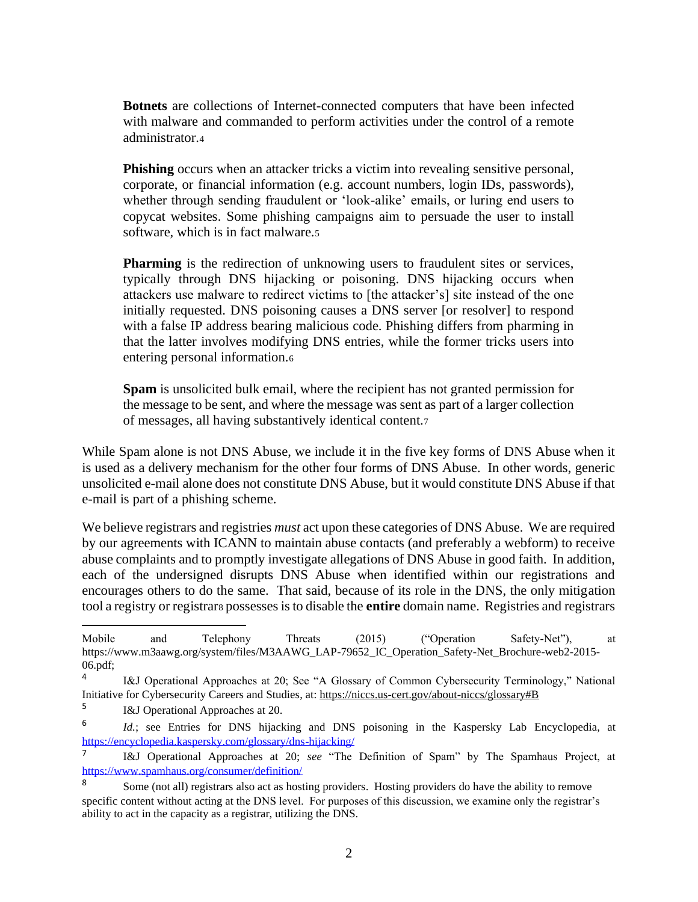**Botnets** are collections of Internet-connected computers that have been infected with malware and commanded to perform activities under the control of a remote administrator.<sup>4</sup>

**Phishing** occurs when an attacker tricks a victim into revealing sensitive personal, corporate, or financial information (e.g. account numbers, login IDs, passwords), whether through sending fraudulent or 'look-alike' emails, or luring end users to copycat websites. Some phishing campaigns aim to persuade the user to install software, which is in fact malware.<sup>5</sup>

**Pharming** is the redirection of unknowing users to fraudulent sites or services, typically through DNS hijacking or poisoning. DNS hijacking occurs when attackers use malware to redirect victims to [the attacker's] site instead of the one initially requested. DNS poisoning causes a DNS server [or resolver] to respond with a false IP address bearing malicious code. Phishing differs from pharming in that the latter involves modifying DNS entries, while the former tricks users into entering personal information.<sup>6</sup>

**Spam** is unsolicited bulk email, where the recipient has not granted permission for the message to be sent, and where the message was sent as part of a larger collection of messages, all having substantively identical content.<sup>7</sup>

While Spam alone is not DNS Abuse, we include it in the five key forms of DNS Abuse when it is used as a delivery mechanism for the other four forms of DNS Abuse. In other words, generic unsolicited e-mail alone does not constitute DNS Abuse, but it would constitute DNS Abuse if that e-mail is part of a phishing scheme.

We believe registrars and registries *must* act upon these categories of DNS Abuse. We are required by our agreements with ICANN to maintain abuse contacts (and preferably a webform) to receive abuse complaints and to promptly investigate allegations of DNS Abuse in good faith. In addition, each of the undersigned disrupts DNS Abuse when identified within our registrations and encourages others to do the same. That said, because of its role in the DNS, the only mitigation tool a registry or registrar<sup>8</sup> possesses is to disable the **entire** domain name. Registries and registrars

Mobile and Telephony Threats (2015) ("Operation Safety-Net"), at https://www.m3aawg.org/system/files/M3AAWG\_LAP-79652\_IC\_Operation\_Safety-Net\_Brochure-web2-2015- 06.pdf;

<sup>4</sup> I&J Operational Approaches at 20; See "A Glossary of Common Cybersecurity Terminology," National Initiative for Cybersecurity Careers and Studies, at[: https://niccs.us-cert.gov/about-niccs/glossary#B](https://niccs.us-cert.gov/about-niccs/glossary#B)

<sup>5</sup> I&J Operational Approaches at 20.

<sup>6</sup> *Id.*; see Entries for DNS hijacking and DNS poisoning in the Kaspersky Lab Encyclopedia, at <https://encyclopedia.kaspersky.com/glossary/dns-hijacking/>

<sup>7</sup> I&J Operational Approaches at 20; *see* "The Definition of Spam" by The Spamhaus Project, at <https://www.spamhaus.org/consumer/definition/>

<sup>&</sup>lt;sup>8</sup> Some (not all) registrars also act as hosting providers. Hosting providers do have the ability to remove specific content without acting at the DNS level. For purposes of this discussion, we examine only the registrar's ability to act in the capacity as a registrar, utilizing the DNS.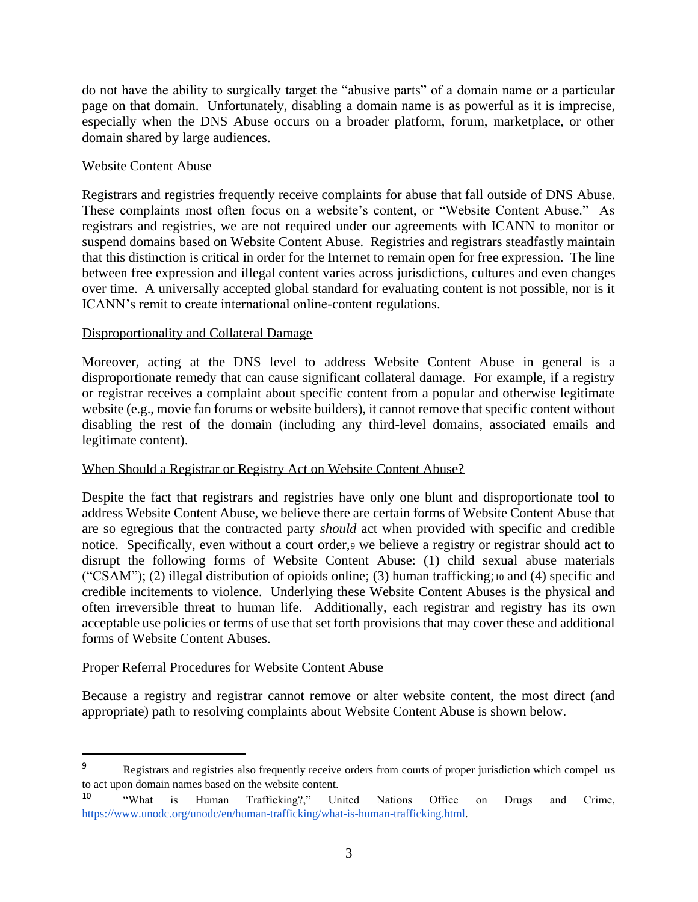do not have the ability to surgically target the "abusive parts" of a domain name or a particular page on that domain. Unfortunately, disabling a domain name is as powerful as it is imprecise, especially when the DNS Abuse occurs on a broader platform, forum, marketplace, or other domain shared by large audiences.

## Website Content Abuse

Registrars and registries frequently receive complaints for abuse that fall outside of DNS Abuse. These complaints most often focus on a website's content, or "Website Content Abuse." As registrars and registries, we are not required under our agreements with ICANN to monitor or suspend domains based on Website Content Abuse. Registries and registrars steadfastly maintain that this distinction is critical in order for the Internet to remain open for free expression. The line between free expression and illegal content varies across jurisdictions, cultures and even changes over time. A universally accepted global standard for evaluating content is not possible, nor is it ICANN's remit to create international online-content regulations.

## Disproportionality and Collateral Damage

Moreover, acting at the DNS level to address Website Content Abuse in general is a disproportionate remedy that can cause significant collateral damage. For example, if a registry or registrar receives a complaint about specific content from a popular and otherwise legitimate website (e.g., movie fan forums or website builders), it cannot remove that specific content without disabling the rest of the domain (including any third-level domains, associated emails and legitimate content).

# When Should a Registrar or Registry Act on Website Content Abuse?

Despite the fact that registrars and registries have only one blunt and disproportionate tool to address Website Content Abuse, we believe there are certain forms of Website Content Abuse that are so egregious that the contracted party *should* act when provided with specific and credible notice. Specifically, even without a court order,<sup>9</sup> we believe a registry or registrar should act to disrupt the following forms of Website Content Abuse: (1) child sexual abuse materials ("CSAM"); (2) illegal distribution of opioids online; (3) human trafficking;<sup>10</sup> and (4) specific and credible incitements to violence. Underlying these Website Content Abuses is the physical and often irreversible threat to human life. Additionally, each registrar and registry has its own acceptable use policies or terms of use that set forth provisions that may cover these and additional forms of Website Content Abuses.

### Proper Referral Procedures for Website Content Abuse

Because a registry and registrar cannot remove or alter website content, the most direct (and appropriate) path to resolving complaints about Website Content Abuse is shown below.

<sup>&</sup>lt;sup>9</sup> Registrars and registries also frequently receive orders from courts of proper jurisdiction which compel us to act upon domain names based on the website content.

<sup>&</sup>lt;sup>10</sup> "What is Human Trafficking?," United Nations Office on Drugs and Crime, [https://www.unodc.org/unodc/en/human-trafficking/what-is-human-trafficking.html.](https://www.unodc.org/unodc/en/human-trafficking/what-is-human-trafficking.html)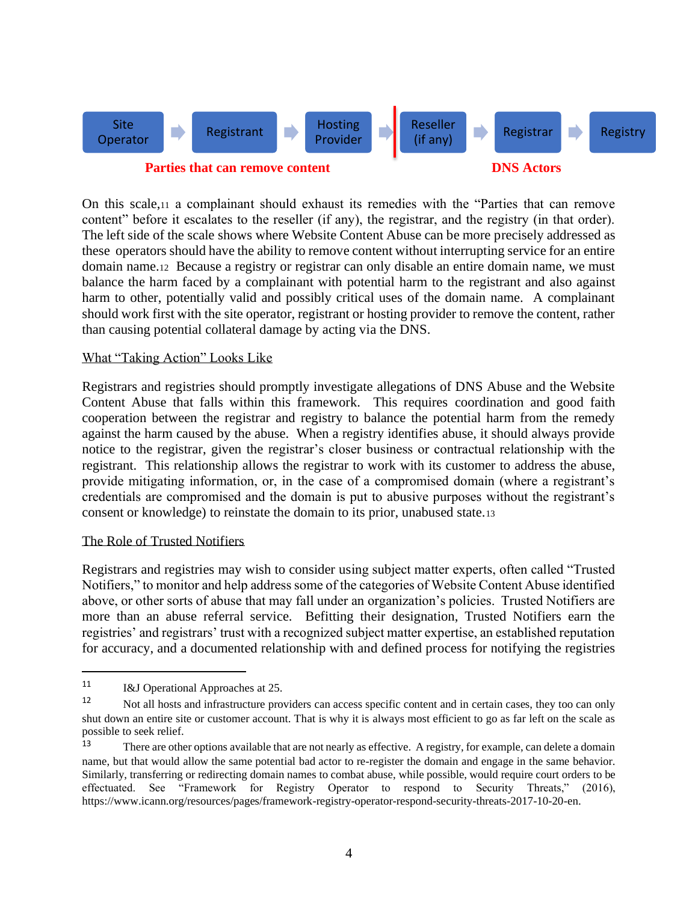

On this scale,<sup>11</sup> a complainant should exhaust its remedies with the "Parties that can remove content" before it escalates to the reseller (if any), the registrar, and the registry (in that order). The left side of the scale shows where Website Content Abuse can be more precisely addressed as these operators should have the ability to remove content without interrupting service for an entire domain name.12 Because a registry or registrar can only disable an entire domain name, we must balance the harm faced by a complainant with potential harm to the registrant and also against harm to other, potentially valid and possibly critical uses of the domain name. A complainant should work first with the site operator, registrant or hosting provider to remove the content, rather than causing potential collateral damage by acting via the DNS.

#### What "Taking Action" Looks Like

Registrars and registries should promptly investigate allegations of DNS Abuse and the Website Content Abuse that falls within this framework. This requires coordination and good faith cooperation between the registrar and registry to balance the potential harm from the remedy against the harm caused by the abuse. When a registry identifies abuse, it should always provide notice to the registrar, given the registrar's closer business or contractual relationship with the registrant. This relationship allows the registrar to work with its customer to address the abuse, provide mitigating information, or, in the case of a compromised domain (where a registrant's credentials are compromised and the domain is put to abusive purposes without the registrant's consent or knowledge) to reinstate the domain to its prior, unabused state.<sup>13</sup>

#### The Role of Trusted Notifiers

Registrars and registries may wish to consider using subject matter experts, often called "Trusted Notifiers," to monitor and help address some of the categories of Website Content Abuse identified above, or other sorts of abuse that may fall under an organization's policies. Trusted Notifiers are more than an abuse referral service. Befitting their designation, Trusted Notifiers earn the registries' and registrars' trust with a recognized subject matter expertise, an established reputation for accuracy, and a documented relationship with and defined process for notifying the registries

<sup>11</sup> I&J Operational Approaches at 25.

<sup>&</sup>lt;sup>12</sup> Not all hosts and infrastructure providers can access specific content and in certain cases, they too can only shut down an entire site or customer account. That is why it is always most efficient to go as far left on the scale as possible to seek relief.

<sup>&</sup>lt;sup>13</sup> There are other options available that are not nearly as effective. A registry, for example, can delete a domain name, but that would allow the same potential bad actor to re-register the domain and engage in the same behavior. Similarly, transferring or redirecting domain names to combat abuse, while possible, would require court orders to be effectuated. See "Framework for Registry Operator to respond to Security Threats," (2016), [https://www.icann.org/resources/pages/framework-registry-operator-respond-security-threats-2017-10-20-en.](https://www.icann.org/resources/pages/framework-registry-operator-respond-security-threats-2017-10-20-en)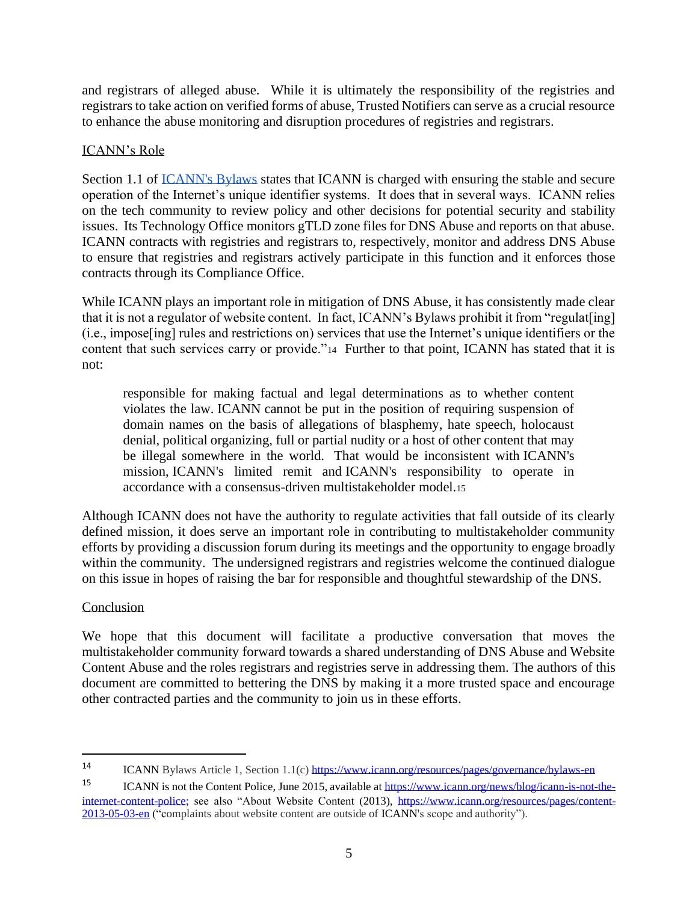and registrars of alleged abuse. While it is ultimately the responsibility of the registries and registrars to take action on verified forms of abuse, Trusted Notifiers can serve as a crucial resource to enhance the abuse monitoring and disruption procedures of registries and registrars.

# ICANN's Role

Section 1.1 of [ICANN's Bylaws](https://www.icann.org/resources/pages/governance/bylaws-en) states that ICANN is charged with ensuring the stable and secure operation of the Internet's unique identifier systems. It does that in several ways. ICANN relies on the tech community to review policy and other decisions for potential security and stability issues. Its Technology Office monitors gTLD zone files for DNS Abuse and reports on that abuse. ICANN contracts with registries and registrars to, respectively, monitor and address DNS Abuse to ensure that registries and registrars actively participate in this function and it enforces those contracts through its Compliance Office.

While ICANN plays an important role in mitigation of DNS Abuse, it has consistently made clear that it is not a regulator of website content. In fact, ICANN's Bylaws prohibit it from "regulat[ing] (i.e., impose[ing] rules and restrictions on) services that use the Internet's unique identifiers or the content that such services carry or provide."<sup>14</sup> Further to that point, ICANN has stated that it is not:

responsible for making factual and legal determinations as to whether content violates the law. ICANN cannot be put in the position of requiring suspension of domain names on the basis of allegations of blasphemy, hate speech, holocaust denial, political organizing, full or partial nudity or a host of other content that may be illegal somewhere in the world. That would be inconsistent with ICANN's mission, ICANN's limited remit and ICANN's responsibility to operate in accordance with a consensus-driven multistakeholder model.<sup>15</sup>

Although ICANN does not have the authority to regulate activities that fall outside of its clearly defined mission, it does serve an important role in contributing to multistakeholder community efforts by providing a discussion forum during its meetings and the opportunity to engage broadly within the community. The undersigned registrars and registries welcome the continued dialogue on this issue in hopes of raising the bar for responsible and thoughtful stewardship of the DNS.

# Conclusion

We hope that this document will facilitate a productive conversation that moves the multistakeholder community forward towards a shared understanding of DNS Abuse and Website Content Abuse and the roles registrars and registries serve in addressing them. The authors of this document are committed to bettering the DNS by making it a more trusted space and encourage other contracted parties and the community to join us in these efforts.

<sup>14</sup> ICANN Bylaws Article 1, Section 1.1(c[\) https://www.icann.org/resources/pages/governance/bylaws-en](https://www.icann.org/resources/pages/governance/bylaws-en)

<sup>15</sup> ICANN is not the Content Police, June 2015, available a[t https://www.icann.org/news/blog/icann-is-not-the](https://www.icann.org/news/blog/icann-is-not-the-internet-content-police)[internet-content-police;](https://www.icann.org/news/blog/icann-is-not-the-internet-content-police) see also "About Website Content (2013), [https://www.icann.org/resources/pages/content-](https://www.icann.org/resources/pages/content-2013-05-03-en)[2013-05-03-en](https://www.icann.org/resources/pages/content-2013-05-03-en) ("complaints about website content are outside of ICANN's scope and authority").